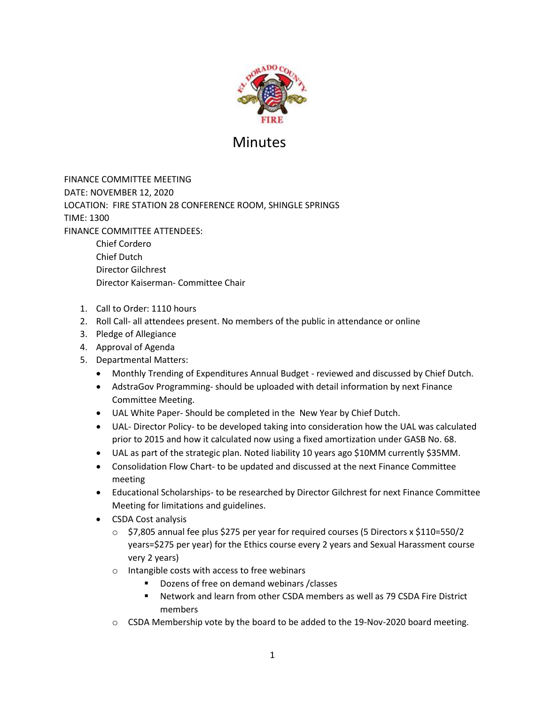

## Minutes

FINANCE COMMITTEE MEETING DATE: NOVEMBER 12, 2020 LOCATION: FIRE STATION 28 CONFERENCE ROOM, SHINGLE SPRINGS TIME: 1300 FINANCE COMMITTEE ATTENDEES: Chief Cordero Chief Dutch Director Gilchrest

1. Call to Order: 1110 hours

Director Kaiserman- Committee Chair

- 2. Roll Call- all attendees present. No members of the public in attendance or online
- 3. Pledge of Allegiance
- 4. Approval of Agenda
- 5. Departmental Matters:
	- Monthly Trending of Expenditures Annual Budget reviewed and discussed by Chief Dutch.
	- AdstraGov Programming- should be uploaded with detail information by next Finance Committee Meeting.
	- UAL White Paper- Should be completed in the New Year by Chief Dutch.
	- UAL- Director Policy- to be developed taking into consideration how the UAL was calculated prior to 2015 and how it calculated now using a fixed amortization under GASB No. 68.
	- UAL as part of the strategic plan. Noted liability 10 years ago \$10MM currently \$35MM.
	- Consolidation Flow Chart- to be updated and discussed at the next Finance Committee meeting
	- Educational Scholarships- to be researched by Director Gilchrest for next Finance Committee Meeting for limitations and guidelines.
	- CSDA Cost analysis
		- $\circ$  \$7,805 annual fee plus \$275 per year for required courses (5 Directors x \$110=550/2 years=\$275 per year) for the Ethics course every 2 years and Sexual Harassment course very 2 years)
		- o Intangible costs with access to free webinars
			- Dozens of free on demand webinars / classes
			- Network and learn from other CSDA members as well as 79 CSDA Fire District members
		- $\circ$  CSDA Membership vote by the board to be added to the 19-Nov-2020 board meeting.